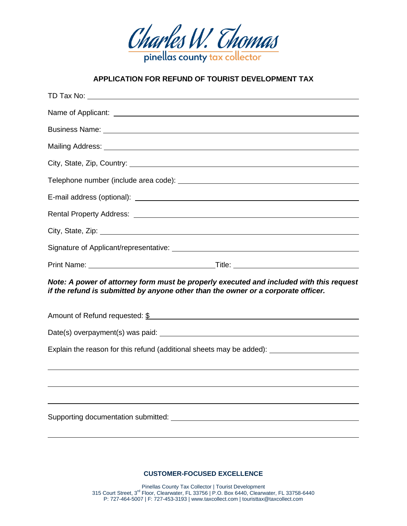

## **APPLICATION FOR REFUND OF TOURIST DEVELOPMENT TAX**

| Note: A power of attorney form must be properly executed and included with this request<br>if the refund is submitted by anyone other than the owner or a corporate officer. |  |
|------------------------------------------------------------------------------------------------------------------------------------------------------------------------------|--|
| Amount of Refund requested: \$                                                                                                                                               |  |
|                                                                                                                                                                              |  |
| Explain the reason for this refund (additional sheets may be added): __________________                                                                                      |  |
|                                                                                                                                                                              |  |
|                                                                                                                                                                              |  |
|                                                                                                                                                                              |  |

**CUSTOMER-FOCUSED EXCELLENCE**